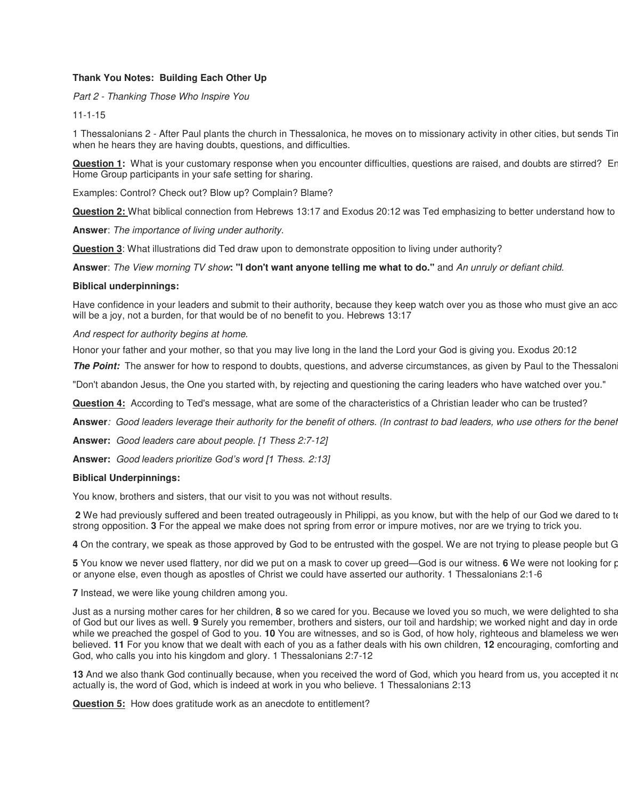## **Thank You Notes: Building Each Other Up**

*Part 2 - Thanking Those Who Inspire You*

## 11-1-15

1 Thessalonians 2 - After Paul plants the church in Thessalonica, he moves on to missionary activity in other cities, but sends Tim when he hears they are having doubts, questions, and difficulties.

**Question 1:** What is your customary response when you encounter difficulties, questions are raised, and doubts are stirred? En Home Group participants in your safe setting for sharing.

Examples: Control? Check out? Blow up? Complain? Blame?

**Question 2:** What biblical connection from Hebrews 13:17 and Exodus 20:12 was Ted emphasizing to better understand how to l

**Answer**: *The importance of living under authority.*

**Question 3**: What illustrations did Ted draw upon to demonstrate opposition to living under authority?

**Answer**: *The View morning TV show***: "I don't want anyone telling me what to do."** and *An unruly or defiant child.*

## **Biblical underpinnings:**

Have confidence in your leaders and submit to their authority, because they keep watch over you as those who must give an acc will be a joy, not a burden, for that would be of no benefit to you. Hebrews 13:17

*And respect for authority begins at home.*

Honor your father and your mother, so that you may live long in the land the Lord your God is giving you. Exodus 20:12

**The Point:** The answer for how to respond to doubts, questions, and adverse circumstances, as given by Paul to the Thessalon

"Don't abandon Jesus, the One you started with, by rejecting and questioning the caring leaders who have watched over you."

**Question 4:** According to Ted's message, what are some of the characteristics of a Christian leader who can be trusted?

**Answer***: Good leaders leverage their authority for the benefit of others. (In contrast to bad leaders, who use others for the benefi*

**Answer:** *Good leaders care about people. [1 Thess 2:7-12]*

**Answer:** *Good leaders prioritize God's word [1 Thess. 2:13]*

## **Biblical Underpinnings:**

You know, brothers and sisters, that our visit to you was not without results.

**2** We had previously suffered and been treated outrageously in Philippi, as you know, but with the help of our God we dared to te strong opposition. **3** For the appeal we make does not spring from error or impure motives, nor are we trying to trick you.

**4** On the contrary, we speak as those approved by God to be entrusted with the gospel. We are not trying to please people but G

**5** You know we never used flattery, nor did we put on a mask to cover up greed—God is our witness. **6** We were not looking for proor anyone else, even though as apostles of Christ we could have asserted our authority. 1 Thessalonians 2:1-6

**7** Instead, we were like young children among you.

Just as a nursing mother cares for her children, **8** so we cared for you. Because we loved you so much, we were delighted to share wi of God but our lives as well. **9** Surely you remember, brothers and sisters, our toil and hardship; we worked night and day in order while we preached the gospel of God to you. **10** You are witnesses, and so is God, of how holy, righteous and blameless we wer believed. **11** For you know that we dealt with each of you as a father deals with his own children, 12 encouraging, comforting and God, who calls you into his kingdom and glory. 1 Thessalonians 2:7-12

13 And we also thank God continually because, when you received the word of God, which you heard from us, you accepted it not actually is, the word of God, which is indeed at work in you who believe. 1 Thessalonians 2:13

**Question 5:** How does gratitude work as an anecdote to entitlement?